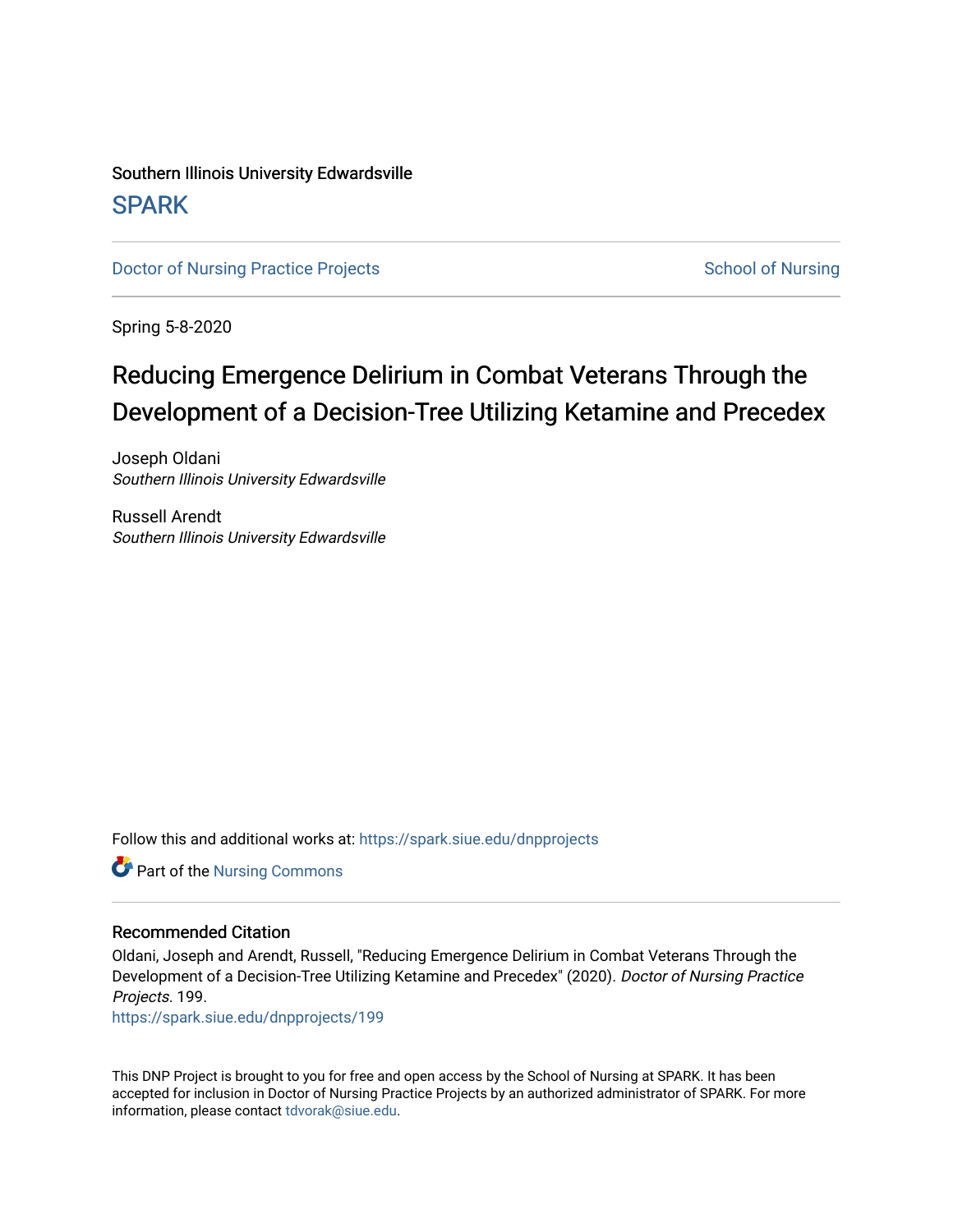# Southern Illinois University Edwardsville **SPARK**

[Doctor of Nursing Practice Projects](https://spark.siue.edu/dnpprojects) **School of Nursing** School of Nursing

Spring 5-8-2020

# Reducing Emergence Delirium in Combat Veterans Through the Development of a Decision-Tree Utilizing K etamine and Precedex

Joseph Oldani Southern Illinois University Edwardsville

Russell Arendt Southern Illinois University Edwardsville

Follow this and additional works at: [https://spark.siue.edu/dnpprojects](https://spark.siue.edu/dnpprojects?utm_source=spark.siue.edu%2Fdnpprojects%2F199&utm_medium=PDF&utm_campaign=PDFCoverPages) 

Part of the [Nursing Commons](http://network.bepress.com/hgg/discipline/718?utm_source=spark.siue.edu%2Fdnpprojects%2F199&utm_medium=PDF&utm_campaign=PDFCoverPages) 

#### Recommended Citation

Oldani, Joseph and Arendt, Russell, "Reducing Emergence Delirium in Combat Veterans Through the Development of a Decision-Tree Utilizing Ketamine and Precedex" (2020). Doctor of Nursing Practice Projects. 199.

[https://spark.siue.edu/dnpprojects/199](https://spark.siue.edu/dnpprojects/199?utm_source=spark.siue.edu%2Fdnpprojects%2F199&utm_medium=PDF&utm_campaign=PDFCoverPages) 

This DNP Project is brought to you for free and open access by the School of Nursing at SPARK. It has been accepted for inclusion in Doctor of Nursing Practice Projects by an authorized administrator of SPARK. For more information, please contact [tdvorak@siue.edu](mailto:tdvorak@siue.edu).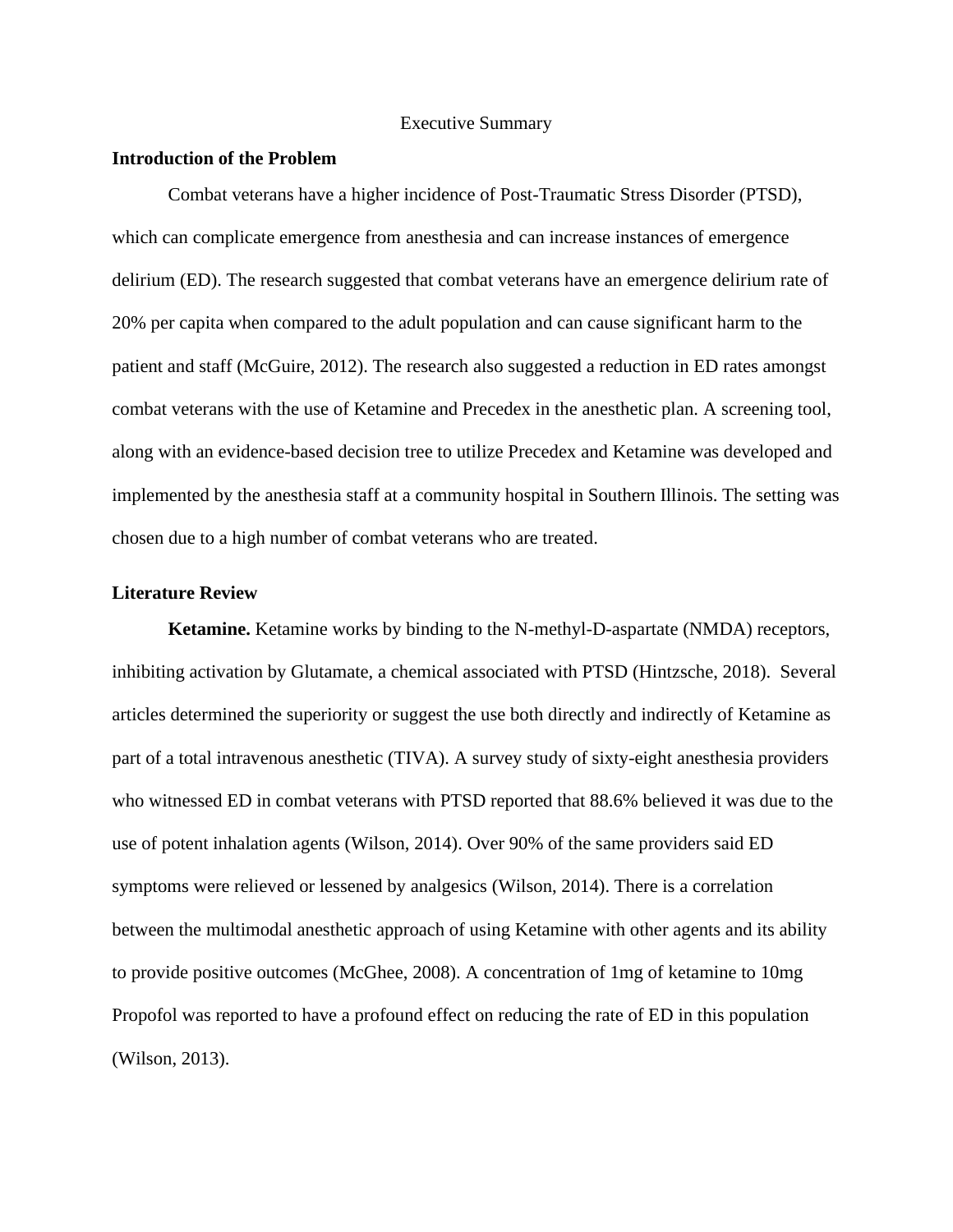#### Executive Summary

#### **Introduction of the Problem**

Combat veterans have a higher incidence of Post-Traumatic Stress Disorder (PTSD), which can complicate emergence from anesthesia and can increase instances of emergence delirium (ED). The research suggested that combat veterans have an emergence delirium rate of 20% per capita when compared to the adult population and can cause significant harm to the patient and staff (McGuire, 2012). The research also suggested a reduction in ED rates amongst combat veterans with the use of Ketamine and Precedex in the anesthetic plan. A screening tool, along with an evidence-based decision tree to utilize Precedex and Ketamine was developed and implemented by the anesthesia staff at a community hospital in Southern Illinois. The setting was chosen due to a high number of combat veterans who are treated.

#### **Literature Review**

**Ketamine.** Ketamine works by binding to the N-methyl-D-aspartate (NMDA) receptors, inhibiting activation by Glutamate, a chemical associated with PTSD (Hintzsche, 2018). Several articles determined the superiority or suggest the use both directly and indirectly of Ketamine as part of a total intravenous anesthetic (TIVA). A survey study of sixty-eight anesthesia providers who witnessed ED in combat veterans with PTSD reported that 88.6% believed it was due to the use of potent inhalation agents (Wilson, 2014). Over 90% of the same providers said ED symptoms were relieved or lessened by analgesics (Wilson, 2014). There is a correlation between the multimodal anesthetic approach of using Ketamine with other agents and its ability to provide positive outcomes (McGhee, 2008). A concentration of 1mg of ketamine to 10mg Propofol was reported to have a profound effect on reducing the rate of ED in this population (Wilson, 2013).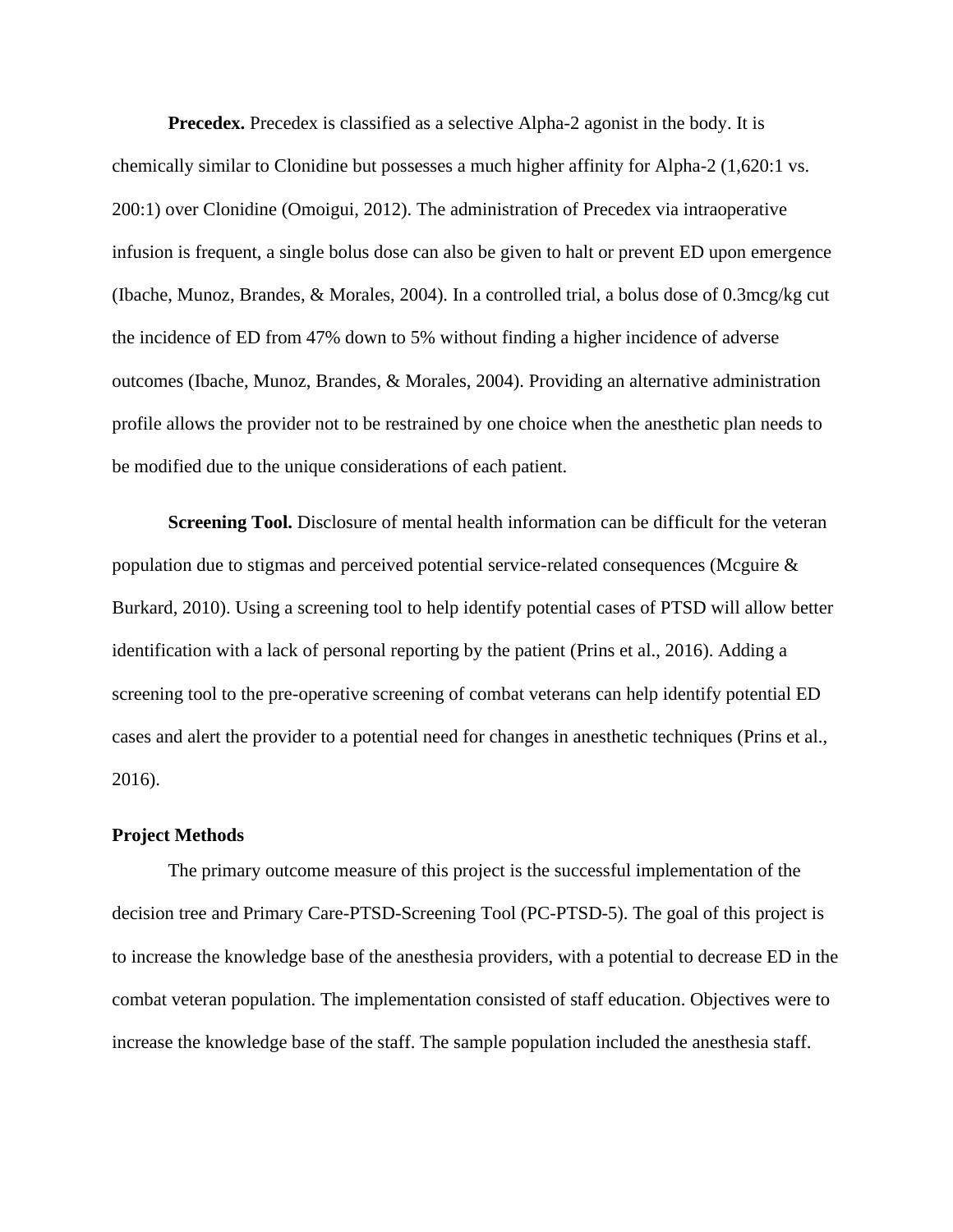**Precedex.** Precedex is classified as a selective Alpha-2 agonist in the body. It is chemically similar to Clonidine but possesses a much higher affinity for Alpha-2 (1,620:1 vs. 200:1) over Clonidine (Omoigui, 2012). The administration of Precedex via intraoperative infusion is frequent, a single bolus dose can also be given to halt or prevent ED upon emergence (Ibache, Munoz, Brandes, & Morales, 2004). In a controlled trial, a bolus dose of 0.3mcg/kg cut the incidence of ED from 47% down to 5% without finding a higher incidence of adverse outcomes (Ibache, Munoz, Brandes, & Morales, 2004). Providing an alternative administration profile allows the provider not to be restrained by one choice when the anesthetic plan needs to be modified due to the unique considerations of each patient.

**Screening Tool.** Disclosure of mental health information can be difficult for the veteran population due to stigmas and perceived potential service-related consequences (Mcguire & Burkard, 2010). Using a screening tool to help identify potential cases of PTSD will allow better identification with a lack of personal reporting by the patient (Prins et al., 2016). Adding a screening tool to the pre-operative screening of combat veterans can help identify potential ED cases and alert the provider to a potential need for changes in anesthetic techniques (Prins et al., 2016).

#### **Project Methods**

The primary outcome measure of this project is the successful implementation of the decision tree and Primary Care-PTSD-Screening Tool (PC-PTSD-5). The goal of this project is to increase the knowledge base of the anesthesia providers, with a potential to decrease ED in the combat veteran population. The implementation consisted of staff education. Objectives were to increase the knowledge base of the staff. The sample population included the anesthesia staff.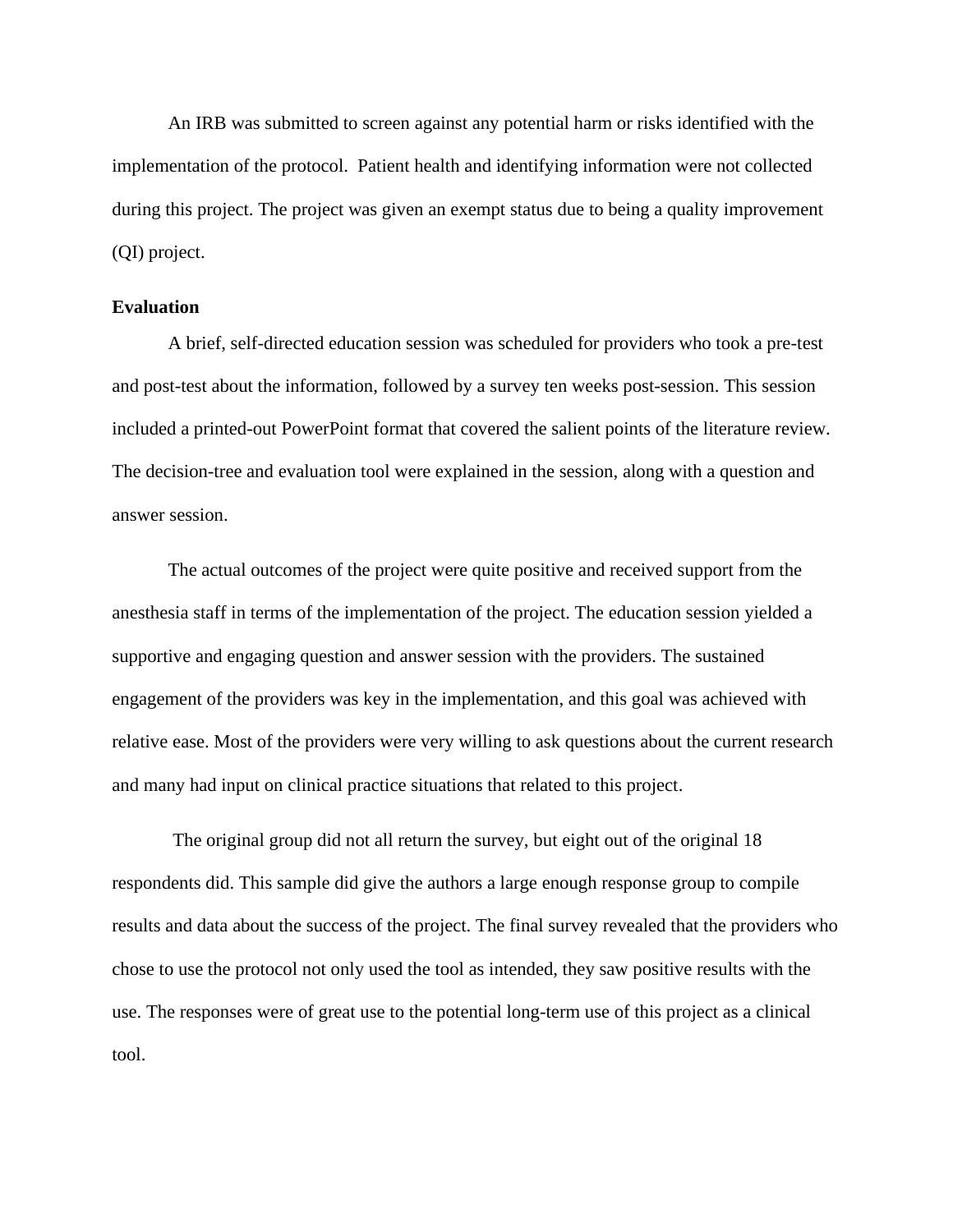An IRB was submitted to screen against any potential harm or risks identified with the implementation of the protocol. Patient health and identifying information were not collected during this project. The project was given an exempt status due to being a quality improvement (QI) project.

## **Evaluation**

A brief, self-directed education session was scheduled for providers who took a pre-test and post-test about the information, followed by a survey ten weeks post-session. This session included a printed-out PowerPoint format that covered the salient points of the literature review. The decision-tree and evaluation tool were explained in the session, along with a question and answer session.

The actual outcomes of the project were quite positive and received support from the anesthesia staff in terms of the implementation of the project. The education session yielded a supportive and engaging question and answer session with the providers. The sustained engagement of the providers was key in the implementation, and this goal was achieved with relative ease. Most of the providers were very willing to ask questions about the current research and many had input on clinical practice situations that related to this project.

The original group did not all return the survey, but eight out of the original 18 respondents did. This sample did give the authors a large enough response group to compile results and data about the success of the project. The final survey revealed that the providers who chose to use the protocol not only used the tool as intended, they saw positive results with the use. The responses were of great use to the potential long-term use of this project as a clinical tool.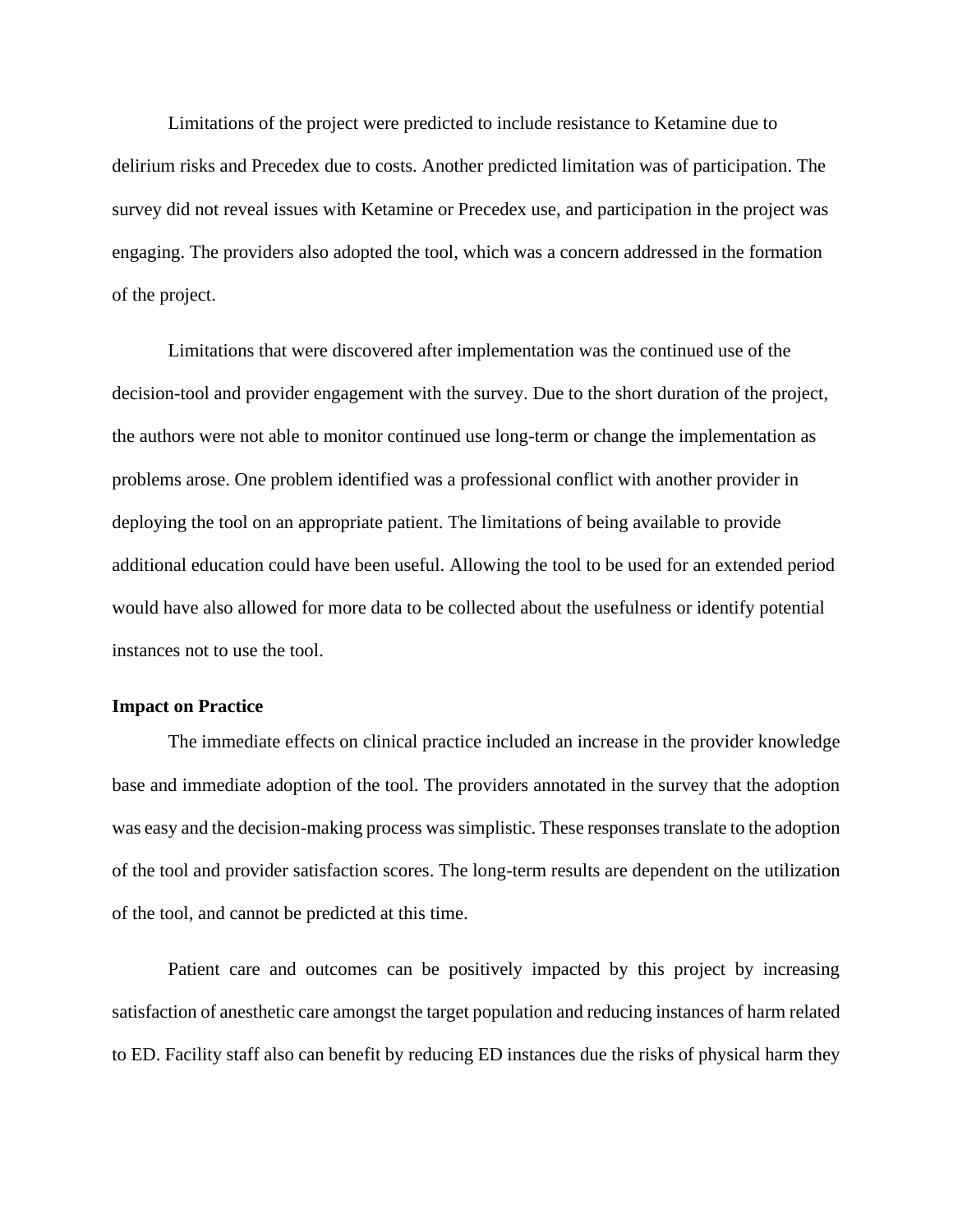Limitations of the project were predicted to include resistance to Ketamine due to delirium risks and Precedex due to costs. Another predicted limitation was of participation. The survey did not reveal issues with Ketamine or Precedex use, and participation in the project was engaging. The providers also adopted the tool, which was a concern addressed in the formation of the project.

Limitations that were discovered after implementation was the continued use of the decision-tool and provider engagement with the survey. Due to the short duration of the project, the authors were not able to monitor continued use long-term or change the implementation as problems arose. One problem identified was a professional conflict with another provider in deploying the tool on an appropriate patient. The limitations of being available to provide additional education could have been useful. Allowing the tool to be used for an extended period would have also allowed for more data to be collected about the usefulness or identify potential instances not to use the tool.

#### **Impact on Practice**

The immediate effects on clinical practice included an increase in the provider knowledge base and immediate adoption of the tool. The providers annotated in the survey that the adoption was easy and the decision-making process was simplistic. These responses translate to the adoption of the tool and provider satisfaction scores. The long-term results are dependent on the utilization of the tool, and cannot be predicted at this time.

Patient care and outcomes can be positively impacted by this project by increasing satisfaction of anesthetic care amongst the target population and reducing instances of harm related to ED. Facility staff also can benefit by reducing ED instances due the risks of physical harm they